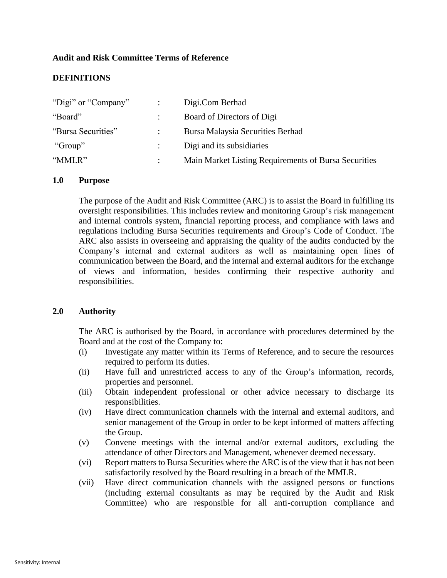# **Audit and Risk Committee Terms of Reference**

# **DEFINITIONS**

| "Digi" or "Company" | Digi.Com Berhad                                      |
|---------------------|------------------------------------------------------|
| "Board"             | Board of Directors of Digi                           |
| "Bursa Securities"  | Bursa Malaysia Securities Berhad                     |
| "Group"             | Digi and its subsidiaries                            |
| "MMLR"              | Main Market Listing Requirements of Bursa Securities |

# **1.0 Purpose**

The purpose of the Audit and Risk Committee (ARC) is to assist the Board in fulfilling its oversight responsibilities. This includes review and monitoring Group's risk management and internal controls system, financial reporting process, and compliance with laws and regulations including Bursa Securities requirements and Group's Code of Conduct. The ARC also assists in overseeing and appraising the quality of the audits conducted by the Company's internal and external auditors as well as maintaining open lines of communication between the Board, and the internal and external auditors for the exchange of views and information, besides confirming their respective authority and responsibilities.

### **2.0 Authority**

The ARC is authorised by the Board, in accordance with procedures determined by the Board and at the cost of the Company to:

- (i) Investigate any matter within its Terms of Reference, and to secure the resources required to perform its duties.
- (ii) Have full and unrestricted access to any of the Group's information, records, properties and personnel.
- (iii) Obtain independent professional or other advice necessary to discharge its responsibilities.
- (iv) Have direct communication channels with the internal and external auditors, and senior management of the Group in order to be kept informed of matters affecting the Group.
- (v) Convene meetings with the internal and/or external auditors, excluding the attendance of other Directors and Management, whenever deemed necessary.
- (vi) Report matters to Bursa Securities where the ARC is of the view that it has not been satisfactorily resolved by the Board resulting in a breach of the MMLR.
- (vii) Have direct communication channels with the assigned persons or functions (including external consultants as may be required by the Audit and Risk Committee) who are responsible for all anti-corruption compliance and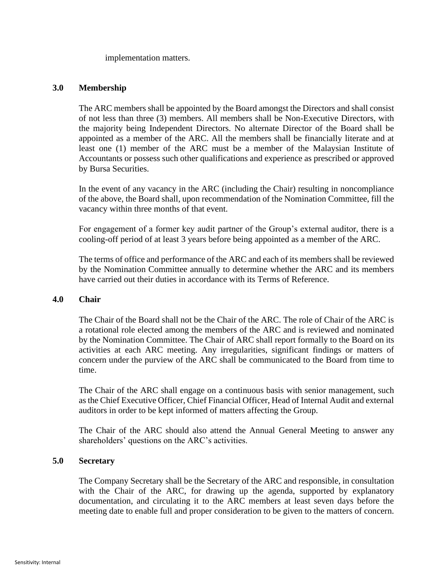implementation matters.

# **3.0 Membership**

The ARC members shall be appointed by the Board amongst the Directors and shall consist of not less than three (3) members. All members shall be Non-Executive Directors, with the majority being Independent Directors. No alternate Director of the Board shall be appointed as a member of the ARC. All the members shall be financially literate and at least one (1) member of the ARC must be a member of the Malaysian Institute of Accountants or possess such other qualifications and experience as prescribed or approved by Bursa Securities.

In the event of any vacancy in the ARC (including the Chair) resulting in noncompliance of the above, the Board shall, upon recommendation of the Nomination Committee, fill the vacancy within three months of that event.

For engagement of a former key audit partner of the Group's external auditor, there is a cooling-off period of at least 3 years before being appointed as a member of the ARC.

The terms of office and performance of the ARC and each of its members shall be reviewed by the Nomination Committee annually to determine whether the ARC and its members have carried out their duties in accordance with its Terms of Reference.

# **4.0 Chair**

The Chair of the Board shall not be the Chair of the ARC. The role of Chair of the ARC is a rotational role elected among the members of the ARC and is reviewed and nominated by the Nomination Committee. The Chair of ARC shall report formally to the Board on its activities at each ARC meeting. Any irregularities, significant findings or matters of concern under the purview of the ARC shall be communicated to the Board from time to time.

The Chair of the ARC shall engage on a continuous basis with senior management, such as the Chief Executive Officer, Chief Financial Officer, Head of Internal Audit and external auditors in order to be kept informed of matters affecting the Group.

The Chair of the ARC should also attend the Annual General Meeting to answer any shareholders' questions on the ARC's activities.

# **5.0 Secretary**

The Company Secretary shall be the Secretary of the ARC and responsible, in consultation with the Chair of the ARC, for drawing up the agenda, supported by explanatory documentation, and circulating it to the ARC members at least seven days before the meeting date to enable full and proper consideration to be given to the matters of concern.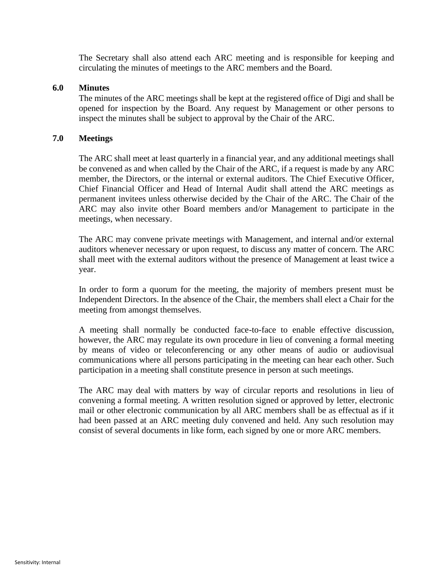The Secretary shall also attend each ARC meeting and is responsible for keeping and circulating the minutes of meetings to the ARC members and the Board.

### **6.0 Minutes**

The minutes of the ARC meetings shall be kept at the registered office of Digi and shall be opened for inspection by the Board. Any request by Management or other persons to inspect the minutes shall be subject to approval by the Chair of the ARC.

### **7.0 Meetings**

The ARC shall meet at least quarterly in a financial year, and any additional meetings shall be convened as and when called by the Chair of the ARC, if a request is made by any ARC member, the Directors, or the internal or external auditors. The Chief Executive Officer, Chief Financial Officer and Head of Internal Audit shall attend the ARC meetings as permanent invitees unless otherwise decided by the Chair of the ARC. The Chair of the ARC may also invite other Board members and/or Management to participate in the meetings, when necessary.

The ARC may convene private meetings with Management, and internal and/or external auditors whenever necessary or upon request, to discuss any matter of concern. The ARC shall meet with the external auditors without the presence of Management at least twice a year.

In order to form a quorum for the meeting, the majority of members present must be Independent Directors. In the absence of the Chair, the members shall elect a Chair for the meeting from amongst themselves.

A meeting shall normally be conducted face-to-face to enable effective discussion, however, the ARC may regulate its own procedure in lieu of convening a formal meeting by means of video or teleconferencing or any other means of audio or audiovisual communications where all persons participating in the meeting can hear each other. Such participation in a meeting shall constitute presence in person at such meetings.

The ARC may deal with matters by way of circular reports and resolutions in lieu of convening a formal meeting. A written resolution signed or approved by letter, electronic mail or other electronic communication by all ARC members shall be as effectual as if it had been passed at an ARC meeting duly convened and held. Any such resolution may consist of several documents in like form, each signed by one or more ARC members.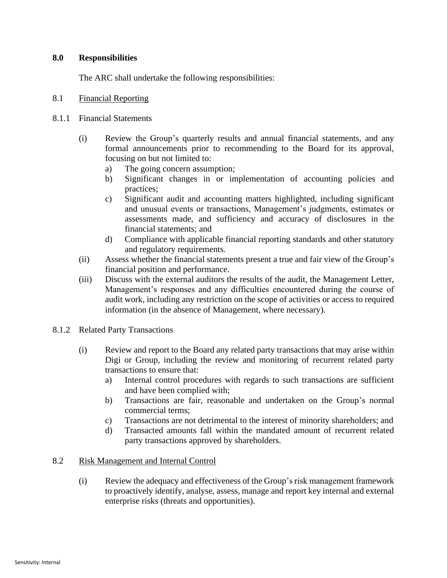# **8.0 Responsibilities**

The ARC shall undertake the following responsibilities:

# 8.1 Financial Reporting

# 8.1.1 Financial Statements

- (i) Review the Group's quarterly results and annual financial statements, and any formal announcements prior to recommending to the Board for its approval, focusing on but not limited to:
	- a) The going concern assumption;
	- b) Significant changes in or implementation of accounting policies and practices;
	- c) Significant audit and accounting matters highlighted, including significant and unusual events or transactions, Management's judgments, estimates or assessments made, and sufficiency and accuracy of disclosures in the financial statements; and
	- d) Compliance with applicable financial reporting standards and other statutory and regulatory requirements.
- (ii) Assess whether the financial statements present a true and fair view of the Group's financial position and performance.
- (iii) Discuss with the external auditors the results of the audit, the Management Letter, Management's responses and any difficulties encountered during the course of audit work, including any restriction on the scope of activities or access to required information (in the absence of Management, where necessary).
- 8.1.2 Related Party Transactions
	- (i) Review and report to the Board any related party transactions that may arise within Digi or Group, including the review and monitoring of recurrent related party transactions to ensure that:
		- a) Internal control procedures with regards to such transactions are sufficient and have been complied with;
		- b) Transactions are fair, reasonable and undertaken on the Group's normal commercial terms;
		- c) Transactions are not detrimental to the interest of minority shareholders; and
		- d) Transacted amounts fall within the mandated amount of recurrent related party transactions approved by shareholders.

# 8.2 Risk Management and Internal Control

(i) Review the adequacy and effectiveness of the Group's risk management framework to proactively identify, analyse, assess, manage and report key internal and external enterprise risks (threats and opportunities).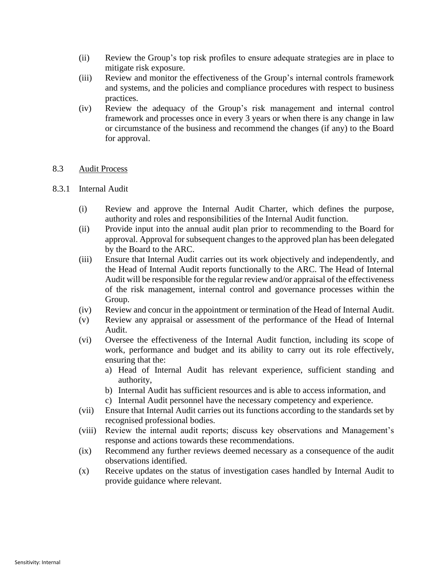- (ii) Review the Group's top risk profiles to ensure adequate strategies are in place to mitigate risk exposure.
- (iii) Review and monitor the effectiveness of the Group's internal controls framework and systems, and the policies and compliance procedures with respect to business practices.
- (iv) Review the adequacy of the Group's risk management and internal control framework and processes once in every 3 years or when there is any change in law or circumstance of the business and recommend the changes (if any) to the Board for approval.

# 8.3 Audit Process

# 8.3.1 Internal Audit

- (i) Review and approve the Internal Audit Charter, which defines the purpose, authority and roles and responsibilities of the Internal Audit function.
- (ii) Provide input into the annual audit plan prior to recommending to the Board for approval. Approval for subsequent changes to the approved plan has been delegated by the Board to the ARC.
- (iii) Ensure that Internal Audit carries out its work objectively and independently, and the Head of Internal Audit reports functionally to the ARC. The Head of Internal Audit will be responsible for the regular review and/or appraisal of the effectiveness of the risk management, internal control and governance processes within the Group.
- (iv) Review and concur in the appointment or termination of the Head of Internal Audit.
- (v) Review any appraisal or assessment of the performance of the Head of Internal Audit.
- (vi) Oversee the effectiveness of the Internal Audit function, including its scope of work, performance and budget and its ability to carry out its role effectively, ensuring that the:
	- a) Head of Internal Audit has relevant experience, sufficient standing and authority,
	- b) Internal Audit has sufficient resources and is able to access information, and
	- c) Internal Audit personnel have the necessary competency and experience.
- (vii) Ensure that Internal Audit carries out its functions according to the standards set by recognised professional bodies.
- (viii) Review the internal audit reports; discuss key observations and Management's response and actions towards these recommendations.
- (ix) Recommend any further reviews deemed necessary as a consequence of the audit observations identified.
- (x) Receive updates on the status of investigation cases handled by Internal Audit to provide guidance where relevant.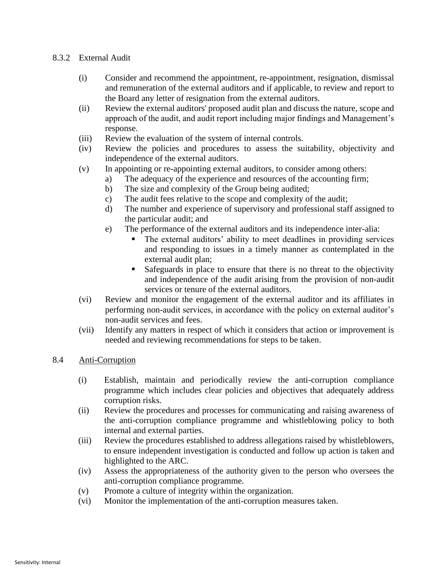# 8.3.2 External Audit

- (i) Consider and recommend the appointment, re-appointment, resignation, dismissal and remuneration of the external auditors and if applicable, to review and report to the Board any letter of resignation from the external auditors.
- (ii) Review the external auditors' proposed audit plan and discuss the nature, scope and approach of the audit, and audit report including major findings and Management's response.
- (iii) Review the evaluation of the system of internal controls.
- (iv) Review the policies and procedures to assess the suitability, objectivity and independence of the external auditors.
- (v) In appointing or re-appointing external auditors, to consider among others:
	- a) The adequacy of the experience and resources of the accounting firm;
		- b) The size and complexity of the Group being audited;
		- c) The audit fees relative to the scope and complexity of the audit;
		- d) The number and experience of supervisory and professional staff assigned to the particular audit; and
		- e) The performance of the external auditors and its independence inter-alia:
			- The external auditors' ability to meet deadlines in providing services and responding to issues in a timely manner as contemplated in the external audit plan;
			- Safeguards in place to ensure that there is no threat to the objectivity and independence of the audit arising from the provision of non-audit services or tenure of the external auditors.
- (vi) Review and monitor the engagement of the external auditor and its affiliates in performing non-audit services, in accordance with the policy on external auditor's non-audit services and fees.
- (vii) Identify any matters in respect of which it considers that action or improvement is needed and reviewing recommendations for steps to be taken.
- 8.4 Anti-Corruption
	- (i) Establish, maintain and periodically review the anti-corruption compliance programme which includes clear policies and objectives that adequately address corruption risks.
	- (ii) Review the procedures and processes for communicating and raising awareness of the anti-corruption compliance programme and whistleblowing policy to both internal and external parties.
	- (iii) Review the procedures established to address allegations raised by whistleblowers, to ensure independent investigation is conducted and follow up action is taken and highlighted to the ARC.
	- (iv) Assess the appropriateness of the authority given to the person who oversees the anti-corruption compliance programme.
	- (v) Promote a culture of integrity within the organization.
	- (vi) Monitor the implementation of the anti-corruption measures taken.